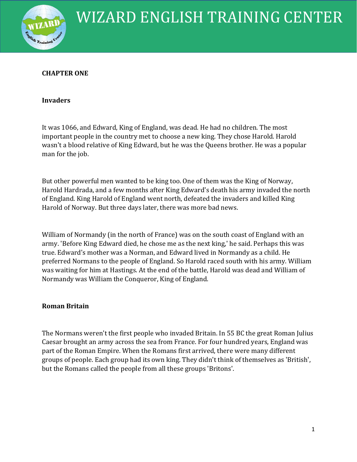#### **CHAPTER ONE**

#### **Invaders**

It was 1066, and Edward, King of England, was dead. He had no children. The most important people in the country met to choose a new king. They chose Harold. Harold wasn't a blood relative of King Edward, but he was the Queens brother. He was a popular man for the job.

But other powerful men wanted to be king too. One of them was the King of Norway, Harold Hardrada, and a few months after King Edward's death his army invaded the north of England. King Harold of England went north, defeated the invaders and killed King Harold of Norway. But three days later, there was more bad news.

William of Normandy (in the north of France) was on the south coast of England with an army. 'Before King Edward died, he chose me as the next king,' he said. Perhaps this was true. Edward's mother was a Norman, and Edward lived in Normandy as a child. He preferred Normans to the people of England. So Harold raced south with his army. William was waiting for him at Hastings. At the end of the battle, Harold was dead and William of Normandy was William the Conqueror, King of England.

#### **Roman Britain**

The Normans weren't the first people who invaded Britain. In 55 BC the great Roman Julius Caesar brought an army across the sea from France. For four hundred years, England was part of the Roman Empire. When the Romans first arrived, there were many different groups of people. Each group had its own king. They didn't think of themselves as 'British', but the Romans called the people from all these groups 'Britons'.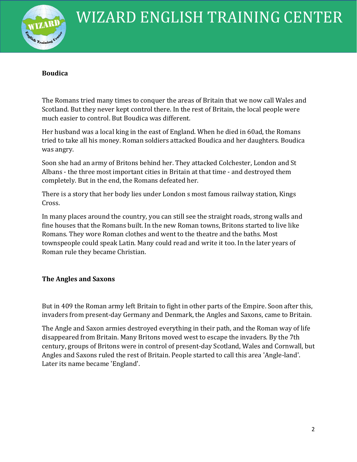

## **Boudica**

The Romans tried many times to conquer the areas of Britain that we now call Wales and Scotland. But they never kept control there. In the rest of Britain, the local people were much easier to control. But Boudica was different.

Her husband was a local king in the east of England. When he died in 60ad, the Romans tried to take all his money. Roman soldiers attacked Boudica and her daughters. Boudica was angry.

Soon she had an army of Britons behind her. They attacked Colchester, London and St Albans - the three most important cities in Britain at that time - and destroyed them completely. But in the end, the Romans defeated her.

There is a story that her body lies under London s most famous railway station, Kings Cross.

In many places around the country, you can still see the straight roads, strong walls and fine houses that the Romans built. In the new Roman towns, Britons started to live like Romans. They wore Roman clothes and went to the theatre and the baths. Most townspeople could speak Latin. Many could read and write it too. In the later years of Roman rule they became Christian.

## **The Angles and Saxons**

But in 409 the Roman army left Britain to fight in other parts of the Empire. Soon after this, invaders from present-day Germany and Denmark, the Angles and Saxons, came to Britain.

The Angle and Saxon armies destroyed everything in their path, and the Roman way of life disappeared from Britain. Many Britons moved west to escape the invaders. By the 7th century, groups of Britons were in control of present-day Scotland, Wales and Cornwall, but Angles and Saxons ruled the rest of Britain. People started to call this area 'Angle-land'. Later its name became 'England'.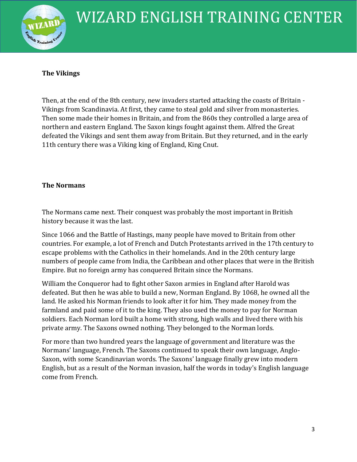

# **The Vikings**

Then, at the end of the 8th century, new invaders started attacking the coasts of Britain - Vikings from Scandinavia. At first, they came to steal gold and silver from monasteries. Then some made their homes in Britain, and from the 860s they controlled a large area of northern and eastern England. The Saxon kings fought against them. Alfred the Great defeated the Vikings and sent them away from Britain. But they returned, and in the early 11th century there was a Viking king of England, King Cnut.

## **The Normans**

The Normans came next. Their conquest was probably the most important in British history because it was the last.

Since 1066 and the Battle of Hastings, many people have moved to Britain from other countries. For example, a lot of French and Dutch Protestants arrived in the 17th century to escape problems with the Catholics in their homelands. And in the 20th century large numbers of people came from India, the Caribbean and other places that were in the British Empire. But no foreign army has conquered Britain since the Normans.

William the Conqueror had to fight other Saxon armies in England after Harold was defeated. But then he was able to build a new, Norman England. By 1068, he owned all the land. He asked his Norman friends to look after it for him. They made money from the farmland and paid some of it to the king. They also used the money to pay for Norman soldiers. Each Norman lord built a home with strong, high walls and lived there with his private army. The Saxons owned nothing. They belonged to the Norman lords.

For more than two hundred years the language of government and literature was the Normans' language, French. The Saxons continued to speak their own language, Anglo-Saxon, with some Scandinavian words. The Saxons' language finally grew into modern English, but as a result of the Norman invasion, half the words in today's English language come from French.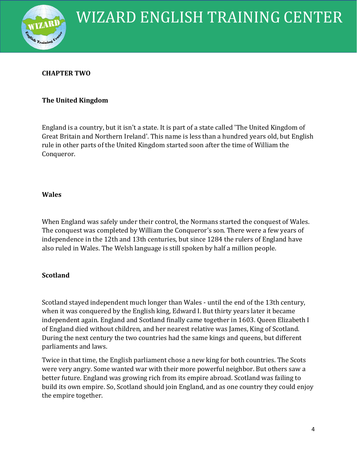#### **CHAPTER TWO**

#### **The United Kingdom**

England is a country, but it isn't a state. It is part of a state called 'The United Kingdom of Great Britain and Northern Ireland'. This name is less than a hundred years old, but English rule in other parts of the United Kingdom started soon after the time of William the Conqueror.

#### **Wales**

When England was safely under their control, the Normans started the conquest of Wales. The conquest was completed by William the Conqueror's son. There were a few years of independence in the 12th and 13th centuries, but since 1284 the rulers of England have also ruled in Wales. The Welsh language is still spoken by half a million people.

#### **Scotland**

Scotland stayed independent much longer than Wales - until the end of the 13th century, when it was conquered by the English king, Edward I. But thirty years later it became independent again. England and Scotland finally came together in 1603. Queen Elizabeth I of England died without children, and her nearest relative was James, King of Scotland. During the next century the two countries had the same kings and queens, but different parliaments and laws.

Twice in that time, the English parliament chose a new king for both countries. The Scots were very angry. Some wanted war with their more powerful neighbor. But others saw a better future. England was growing rich from its empire abroad. Scotland was failing to build its own empire. So, Scotland should join England, and as one country they could enjoy the empire together.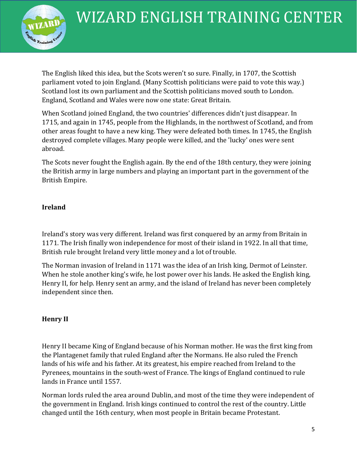

The English liked this idea, but the Scots weren't so sure. Finally, in 1707, the Scottish parliament voted to join England. (Many Scottish politicians were paid to vote this way.) Scotland lost its own parliament and the Scottish politicians moved south to London. England, Scotland and Wales were now one state: Great Britain.

When Scotland joined England, the two countries' differences didn't just disappear. In 1715, and again in 1745, people from the Highlands, in the northwest of Scotland, and from other areas fought to have a new king. They were defeated both times. In 1745, the English destroyed complete villages. Many people were killed, and the 'lucky' ones were sent abroad.

The Scots never fought the English again. By the end of the 18th century, they were joining the British army in large numbers and playing an important part in the government of the British Empire.

## **Ireland**

Ireland's story was very different. Ireland was first conquered by an army from Britain in 1171. The Irish finally won independence for most of their island in 1922. In all that time, British rule brought Ireland very little money and a lot of trouble.

The Norman invasion of Ireland in 1171 was the idea of an Irish king, Dermot of Leinster. When he stole another king's wife, he lost power over his lands. He asked the English king, Henry II, for help. Henry sent an army, and the island of Ireland has never been completely independent since then.

# **Henry II**

Henry II became King of England because of his Norman mother. He was the first king from the Plantagenet family that ruled England after the Normans. He also ruled the French lands of his wife and his father. At its greatest, his empire reached from Ireland to the Pyrenees, mountains in the south-west of France. The kings of England continued to rule lands in France until 1557.

Norman lords ruled the area around Dublin, and most of the time they were independent of the government in England. Irish kings continued to control the rest of the country. Little changed until the 16th century, when most people in Britain became Protestant.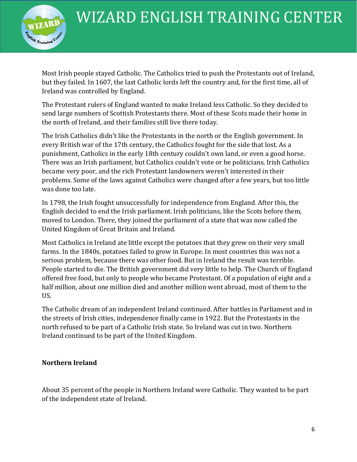Most Irish people stayed Catholic. The Catholics tried to push the Protestants out of Ireland, but they failed. In 1607, the last Catholic lords left the country and, for the first time, all of Ireland was controlled by England.

The Protestant rulers of England wanted to make Ireland less Catholic. So they decided to send large numbers of Scottish Protestants there. Most of these Scots made their home in the north of Ireland, and their families still live there today.

The Irish Catholics didn't like the Protestants in the north or the English government. In every British war of the 17th century, the Catholics fought for the side that lost. As a punishment, Catholics in the early 18th century couldn't own land, or even a good horse. There was an Irish parliament, but Catholics couldn't vote or be politicians. Irish Catholics became very poor, and the rich Protestant landowners weren't interested in their problems. Some of the laws against Catholics were changed after a few years, but too little was done too late.

In 1798, the Irish fought unsuccessfully for independence from England. After this, the English decided to end the Irish parliament. Irish politicians, like the Scots before them, moved to London. There, they joined the parliament of a state that was now called the United Kingdom of Great Britain and Ireland.

Most Catholics in Ireland ate little except the potatoes that they grew on their very small farms. In the 1840s, potatoes failed to grow in Europe. In most countries this was not a serious problem, because there was other food. But in Ireland the result was terrible. People started to die. The British government did very little to help. The Church of England offered free food, but only to people who became Protestant. Of a population of eight and a half million, about one million died and another million went abroad, most of them to the US.

The Catholic dream of an independent Ireland continued. After battles in Parliament and in the streets of Irish cities, independence finally came in 1922. But the Protestants in the north refused to be part of a Catholic Irish state. So Ireland was cut in two. Northern Ireland continued to be part of the United Kingdom.

# **Northern Ireland**

About 35 percent of the people in Northern Ireland were Catholic. They wanted to be part of the independent state of Ireland.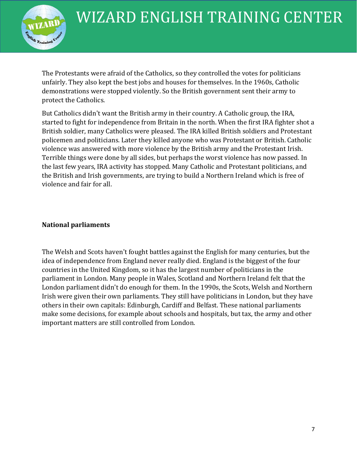

The Protestants were afraid of the Catholics, so they controlled the votes for politicians unfairly. They also kept the best jobs and houses for themselves. In the 1960s, Catholic demonstrations were stopped violently. So the British government sent their army to protect the Catholics.

But Catholics didn't want the British army in their country. A Catholic group, the IRA, started to fight for independence from Britain in the north. When the first IRA fighter shot a British soldier, many Catholics were pleased. The IRA killed British soldiers and Protestant policemen and politicians. Later they killed anyone who was Protestant or British. Catholic violence was answered with more violence by the British army and the Protestant Irish. Terrible things were done by all sides, but perhaps the worst violence has now passed. In the last few years, IRA activity has stopped. Many Catholic and Protestant politicians, and the British and Irish governments, are trying to build a Northern Ireland which is free of violence and fair for all.

## **National parliaments**

The Welsh and Scots haven't fought battles against the English for many centuries, but the idea of independence from England never really died. England is the biggest of the four countries in the United Kingdom, so it has the largest number of politicians in the parliament in London. Many people in Wales, Scotland and Northern Ireland felt that the London parliament didn't do enough for them. In the 1990s, the Scots, Welsh and Northern Irish were given their own parliaments. They still have politicians in London, but they have others in their own capitals: Edinburgh, Cardiff and Belfast. These national parliaments make some decisions, for example about schools and hospitals, but tax, the army and other important matters are still controlled from London.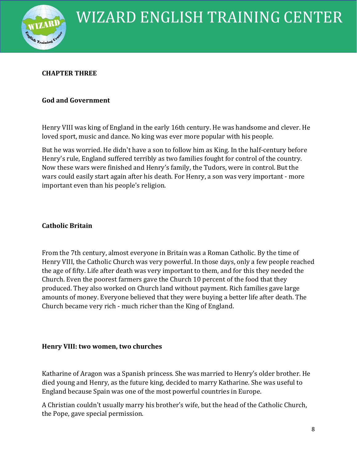# **CHAPTER THREE**

# **God and Government**

Henry VIII was king of England in the early 16th century. He was handsome and clever. He loved sport, music and dance. No king was ever more popular with his people.

But he was worried. He didn't have a son to follow him as King. In the half-century before Henry's rule, England suffered terribly as two families fought for control of the country. Now these wars were finished and Henry's family, the Tudors, were in control. But the wars could easily start again after his death. For Henry, a son was very important - more important even than his people's religion.

## **Catholic Britain**

From the 7th century, almost everyone in Britain was a Roman Catholic. By the time of Henry VIII, the Catholic Church was very powerful. In those days, only a few people reached the age of fifty. Life after death was very important to them, and for this they needed the Church. Even the poorest farmers gave the Church 10 percent of the food that they produced. They also worked on Church land without payment. Rich families gave large amounts of money. Everyone believed that they were buying a better life after death. The Church became very rich - much richer than the King of England.

## **Henry VIII: two women, two churches**

Katharine of Aragon was a Spanish princess. She was married to Henry's older brother. He died young and Henry, as the future king, decided to marry Katharine. She was useful to England because Spain was one of the most powerful countries in Europe.

A Christian couldn't usually marry his brother's wife, but the head of the Catholic Church, the Pope, gave special permission.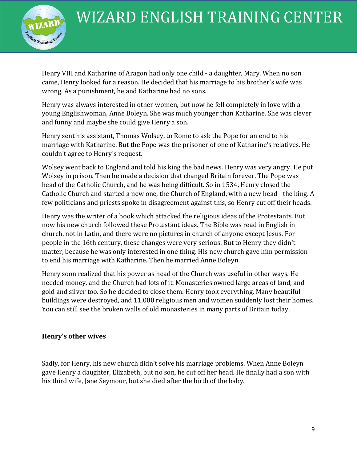

Henry VIII and Katharine of Aragon had only one child - a daughter, Mary. When no son came, Henry looked for a reason. He decided that his marriage to his brother's wife was wrong. As a punishment, he and Katharine had no sons.

Henry was always interested in other women, but now he fell completely in love with a young Englishwoman, Anne Boleyn. She was much younger than Katharine. She was clever and funny and maybe she could give Henry a son.

Henry sent his assistant, Thomas Wolsey, to Rome to ask the Pope for an end to his marriage with Katharine. But the Pope was the prisoner of one of Katharine's relatives. He couldn't agree to Henry's request.

Wolsey went back to England and told his king the bad news. Henry was very angry. He put Wolsey in prison. Then he made a decision that changed Britain forever. The Pope was head of the Catholic Church, and he was being difficult. So in 1534, Henry closed the Catholic Church and started a new one, the Church of England, with a new head - the king. A few politicians and priests spoke in disagreement against this, so Henry cut off their heads.

Henry was the writer of a book which attacked the religious ideas of the Protestants. But now his new church followed these Protestant ideas. The Bible was read in English in church, not in Latin, and there were no pictures in church of anyone except Jesus. For people in the 16th century, these changes were very serious. But to Henry they didn't matter, because he was only interested in one thing. His new church gave him permission to end his marriage with Katharine. Then he married Anne Boleyn.

Henry soon realized that his power as head of the Church was useful in other ways. He needed money, and the Church had lots of it. Monasteries owned large areas of land, and gold and silver too. So he decided to close them. Henry took everything. Many beautiful buildings were destroyed, and 11,000 religious men and women suddenly lost their homes. You can still see the broken walls of old monasteries in many parts of Britain today.

## **Henry's other wives**

Sadly, for Henry, his new church didn't solve his marriage problems. When Anne Boleyn gave Henry a daughter, Elizabeth, but no son, he cut off her head. He finally had a son with his third wife, Jane Seymour, but she died after the birth of the baby.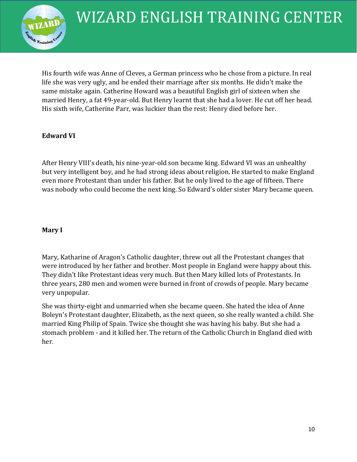

His fourth wife was Anne of Cleves, a German princess who he chose from a picture. In real life she was very ugly, and he ended their marriage after six months. He didn't make the same mistake again. Catherine Howard was a beautiful English girl of sixteen when she married Henry, a fat 49-year-old. But Henry learnt that she had a lover. He cut off her head. His sixth wife, Catherine Parr, was luckier than the rest: Henry died before her.

# **Edward VI**

After Henry VIII's death, his nine-year-old son became king. Edward VI was an unhealthy but very intelligent boy, and he had strong ideas about religion. He started to make England even more Protestant than under his father. But he only lived to the age of fifteen. There was nobody who could become the next king. So Edward's older sister Mary became queen.

## **Mary I**

Mary, Katharine of Aragon's Catholic daughter, threw out all the Protestant changes that were introduced by her father and brother. Most people in England were happy about this. They didn't like Protestant ideas very much. But then Mary killed lots of Protestants. In three years, 280 men and women were burned in front of crowds of people. Mary became very unpopular.

She was thirty-eight and unmarried when she became queen. She hated the idea of Anne Boleyn's Protestant daughter, Elizabeth, as the next queen, so she really wanted a child. She married King Philip of Spain. Twice she thought she was having his baby. But she had a stomach problem - and it killed her. The return of the Catholic Church in England died with her.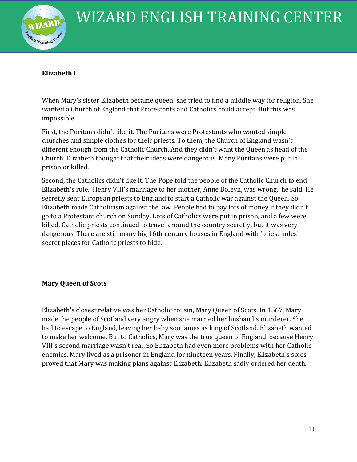

# **Elizabeth I**

When Mary's sister Elizabeth became queen, she tried to find a middle way for religion. She wanted a Church of England that Protestants and Catholics could accept. But this was impossible.

First, the Puritans didn't like it. The Puritans were Protestants who wanted simple churches and simple clothes for their priests. To them, the Church of England wasn't different enough from the Catholic Church. And they didn't want the Queen as head of the Church. Elizabeth thought that their ideas were dangerous. Many Puritans were put in prison or killed.

Second, the Catholics didn't like it. The Pope told the people of the Catholic Church to end Elizabeth's rule. 'Henry VIII's marriage to her mother, Anne Boleyn, was wrong,' he said. He secretly sent European priests to England to start a Catholic war against the Queen. So Elizabeth made Catholicism against the law. People had to pay lots of money if they didn't go to a Protestant church on Sunday. Lots of Catholics were put in prison, and a few were killed. Catholic priests continued to travel around the country secretly, but it was very dangerous. There are still many big 16th-century houses in England with 'priest holes' secret places for Catholic priests to hide.

# **Mary Queen of Scots**

Elizabeth's closest relative was her Catholic cousin, Mary Queen of Scots. In 1567, Mary made the people of Scotland very angry when she married her husband's murderer. She had to escape to England, leaving her baby son James as king of Scotland. Elizabeth wanted to make her welcome. But to Catholics, Mary was the true queen of England, because Henry VIII's second marriage wasn't real. So Elizabeth had even more problems with her Catholic enemies. Mary lived as a prisoner in England for nineteen years. Finally, Elizabeth's spies proved that Mary was making plans against Elizabeth. Elizabeth sadly ordered her death.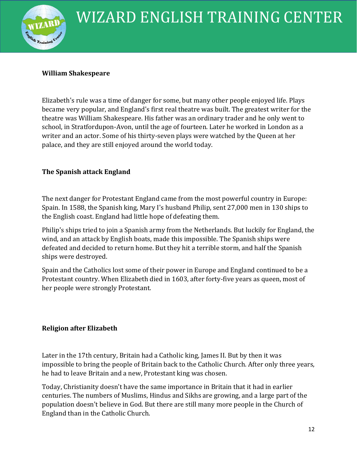

## **William Shakespeare**

Elizabeth's rule was a time of danger for some, but many other people enjoyed life. Plays became very popular, and England's first real theatre was built. The greatest writer for the theatre was William Shakespeare. His father was an ordinary trader and he only went to school, in Stratfordupon-Avon, until the age of fourteen. Later he worked in London as a writer and an actor. Some of his thirty-seven plays were watched by the Queen at her palace, and they are still enjoyed around the world today.

# **The Spanish attack England**

The next danger for Protestant England came from the most powerful country in Europe: Spain. In 1588, the Spanish king, Mary I's husband Philip, sent 27,000 men in 130 ships to the English coast. England had little hope of defeating them.

Philip's ships tried to join a Spanish army from the Netherlands. But luckily for England, the wind, and an attack by English boats, made this impossible. The Spanish ships were defeated and decided to return home. But they hit a terrible storm, and half the Spanish ships were destroyed.

Spain and the Catholics lost some of their power in Europe and England continued to be a Protestant country. When Elizabeth died in 1603, after forty-five years as queen, most of her people were strongly Protestant.

## **Religion after Elizabeth**

Later in the 17th century, Britain had a Catholic king, James II. But by then it was impossible to bring the people of Britain back to the Catholic Church. After only three years, he had to leave Britain and a new, Protestant king was chosen.

Today, Christianity doesn't have the same importance in Britain that it had in earlier centuries. The numbers of Muslims, Hindus and Sikhs are growing, and a large part of the population doesn't believe in God. But there are still many more people in the Church of England than in the Catholic Church.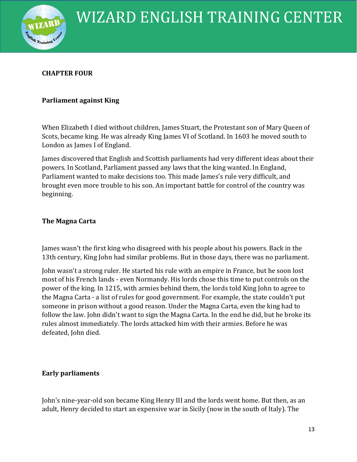

## **CHAPTER FOUR**

## **Parliament against King**

When Elizabeth I died without children, James Stuart, the Protestant son of Mary Queen of Scots, became king. He was already King James VI of Scotland. In 1603 he moved south to London as James I of England.

James discovered that English and Scottish parliaments had very different ideas about their powers. In Scotland, Parliament passed any laws that the king wanted. In England, Parliament wanted to make decisions too. This made James's rule very difficult, and brought even more trouble to his son. An important battle for control of the country was beginning.

## **The Magna Carta**

James wasn't the first king who disagreed with his people about his powers. Back in the 13th century, King John had similar problems. But in those days, there was no parliament.

John wasn't a strong ruler. He started his rule with an empire in France, but he soon lost most of his French lands - even Normandy. His lords chose this time to put controls on the power of the king. In 1215, with armies behind them, the lords told King John to agree to the Magna Carta - a list of rules for good government. For example, the state couldn't put someone in prison without a good reason. Under the Magna Carta, even the king had to follow the law. John didn't want to sign the Magna Carta. In the end he did, but he broke its rules almost immediately. The lords attacked him with their armies. Before he was defeated, John died.

## **Early parliaments**

John's nine-year-old son became King Henry III and the lords went home. But then, as an adult, Henry decided to start an expensive war in Sicily (now in the south of Italy). The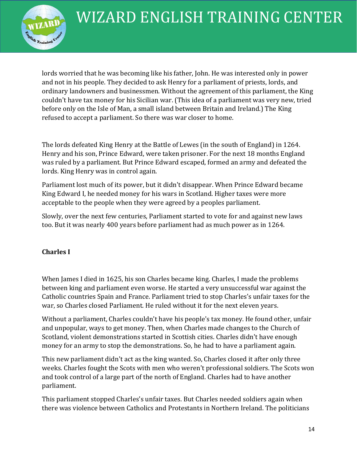

lords worried that he was becoming like his father, John. He was interested only in power and not in his people. They decided to ask Henry for a parliament of priests, lords, and ordinary landowners and businessmen. Without the agreement of this parliament, the King couldn't have tax money for his Sicilian war. (This idea of a parliament was very new, tried before only on the Isle of Man, a small island between Britain and Ireland.) The King refused to accept a parliament. So there was war closer to home.

The lords defeated King Henry at the Battle of Lewes (in the south of England) in 1264. Henry and his son, Prince Edward, were taken prisoner. For the next 18 months England was ruled by a parliament. But Prince Edward escaped, formed an army and defeated the lords. King Henry was in control again.

Parliament lost much of its power, but it didn't disappear. When Prince Edward became King Edward I, he needed money for his wars in Scotland. Higher taxes were more acceptable to the people when they were agreed by a peoples parliament.

Slowly, over the next few centuries, Parliament started to vote for and against new laws too. But it was nearly 400 years before parliament had as much power as in 1264.

# **Charles I**

When James I died in 1625, his son Charles became king. Charles, I made the problems between king and parliament even worse. He started a very unsuccessful war against the Catholic countries Spain and France. Parliament tried to stop Charles's unfair taxes for the war, so Charles closed Parliament. He ruled without it for the next eleven years.

Without a parliament, Charles couldn't have his people's tax money. He found other, unfair and unpopular, ways to get money. Then, when Charles made changes to the Church of Scotland, violent demonstrations started in Scottish cities. Charles didn't have enough money for an army to stop the demonstrations. So, he had to have a parliament again.

This new parliament didn't act as the king wanted. So, Charles closed it after only three weeks. Charles fought the Scots with men who weren't professional soldiers. The Scots won and took control of a large part of the north of England. Charles had to have another parliament.

This parliament stopped Charles's unfair taxes. But Charles needed soldiers again when there was violence between Catholics and Protestants in Northern Ireland. The politicians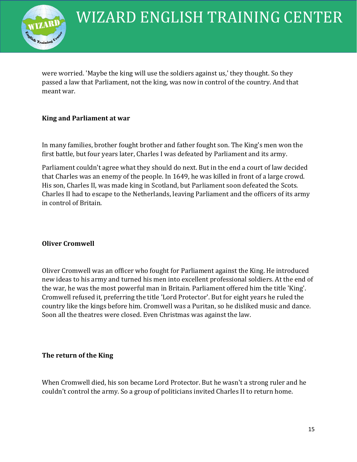

were worried. 'Maybe the king will use the soldiers against us,' they thought. So they passed a law that Parliament, not the king, was now in control of the country. And that meant war.

## **King and Parliament at war**

In many families, brother fought brother and father fought son. The King's men won the first battle, but four years later, Charles I was defeated by Parliament and its army.

Parliament couldn't agree what they should do next. But in the end a court of law decided that Charles was an enemy of the people. In 1649, he was killed in front of a large crowd. His son, Charles II, was made king in Scotland, but Parliament soon defeated the Scots. Charles II had to escape to the Netherlands, leaving Parliament and the officers of its army in control of Britain.

## **Oliver Cromwell**

Oliver Cromwell was an officer who fought for Parliament against the King. He introduced new ideas to his army and turned his men into excellent professional soldiers. At the end of the war, he was the most powerful man in Britain. Parliament offered him the title 'King'. Cromwell refused it, preferring the title 'Lord Protector'. But for eight years he ruled the country like the kings before him. Cromwell was a Puritan, so he disliked music and dance. Soon all the theatres were closed. Even Christmas was against the law.

## **The return of the King**

When Cromwell died, his son became Lord Protector. But he wasn't a strong ruler and he couldn't control the army. So a group of politicians invited Charles II to return home.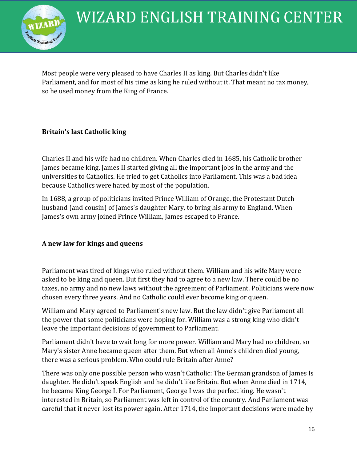

Most people were very pleased to have Charles II as king. But Charles didn't like Parliament, and for most of his time as king he ruled without it. That meant no tax money, so he used money from the King of France.

# **Britain's last Catholic king**

Charles II and his wife had no children. When Charles died in 1685, his Catholic brother James became king. James II started giving all the important jobs in the army and the universities to Catholics. He tried to get Catholics into Parliament. This was a bad idea because Catholics were hated by most of the population.

In 1688, a group of politicians invited Prince William of Orange, the Protestant Dutch husband (and cousin) of James's daughter Mary, to bring his army to England. When James's own army joined Prince William, James escaped to France.

## **A new law for kings and queens**

Parliament was tired of kings who ruled without them. William and his wife Mary were asked to be king and queen. But first they had to agree to a new law. There could be no taxes, no army and no new laws without the agreement of Parliament. Politicians were now chosen every three years. And no Catholic could ever become king or queen.

William and Mary agreed to Parliament's new law. But the law didn't give Parliament all the power that some politicians were hoping for. William was a strong king who didn't leave the important decisions of government to Parliament.

Parliament didn't have to wait long for more power. William and Mary had no children, so Mary's sister Anne became queen after them. But when all Anne's children died young, there was a serious problem. Who could rule Britain after Anne?

There was only one possible person who wasn't Catholic: The German grandson of James Is daughter. He didn't speak English and he didn't like Britain. But when Anne died in 1714, he became King George I. For Parliament, George I was the perfect king. He wasn't interested in Britain, so Parliament was left in control of the country. And Parliament was careful that it never lost its power again. After 1714, the important decisions were made by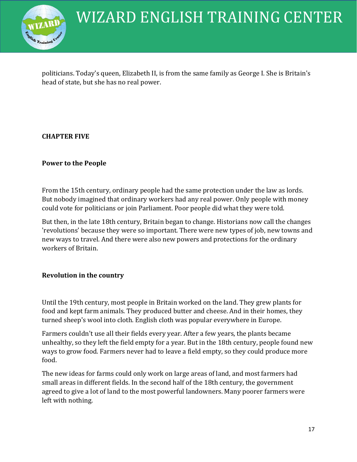

politicians. Today's queen, Elizabeth II, is from the same family as George I. She is Britain's head of state, but she has no real power.

**CHAPTER FIVE**

## **Power to the People**

From the 15th century, ordinary people had the same protection under the law as lords. But nobody imagined that ordinary workers had any real power. Only people with money could vote for politicians or join Parliament. Poor people did what they were told.

But then, in the late 18th century, Britain began to change. Historians now call the changes 'revolutions' because they were so important. There were new types of job, new towns and new ways to travel. And there were also new powers and protections for the ordinary workers of Britain.

## **Revolution in the country**

Until the 19th century, most people in Britain worked on the land. They grew plants for food and kept farm animals. They produced butter and cheese. And in their homes, they turned sheep's wool into cloth. English cloth was popular everywhere in Europe.

Farmers couldn't use all their fields every year. After a few years, the plants became unhealthy, so they left the field empty for a year. But in the 18th century, people found new ways to grow food. Farmers never had to leave a field empty, so they could produce more food.

The new ideas for farms could only work on large areas of land, and most farmers had small areas in different fields. In the second half of the 18th century, the government agreed to give a lot of land to the most powerful landowners. Many poorer farmers were left with nothing.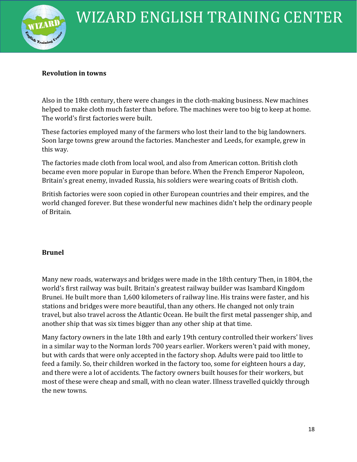

#### **Revolution in towns**

Also in the 18th century, there were changes in the cloth-making business. New machines helped to make cloth much faster than before. The machines were too big to keep at home. The world's first factories were built.

These factories employed many of the farmers who lost their land to the big landowners. Soon large towns grew around the factories. Manchester and Leeds, for example, grew in this way.

The factories made cloth from local wool, and also from American cotton. British cloth became even more popular in Europe than before. When the French Emperor Napoleon, Britain's great enemy, invaded Russia, his soldiers were wearing coats of British cloth.

British factories were soon copied in other European countries and their empires, and the world changed forever. But these wonderful new machines didn't help the ordinary people of Britain.

## **Brunel**

Many new roads, waterways and bridges were made in the 18th century Then, in 1804, the world's first railway was built. Britain's greatest railway builder was Isambard Kingdom Brunei. He built more than 1,600 kilometers of railway line. His trains were faster, and his stations and bridges were more beautiful, than any others. He changed not only train travel, but also travel across the Atlantic Ocean. He built the first metal passenger ship, and another ship that was six times bigger than any other ship at that time.

Many factory owners in the late 18th and early 19th century controlled their workers' lives in a similar way to the Norman lords 700 years earlier. Workers weren't paid with money, but with cards that were only accepted in the factory shop. Adults were paid too little to feed a family. So, their children worked in the factory too, some for eighteen hours a day, and there were a lot of accidents. The factory owners built houses for their workers, but most of these were cheap and small, with no clean water. Illness travelled quickly through the new towns.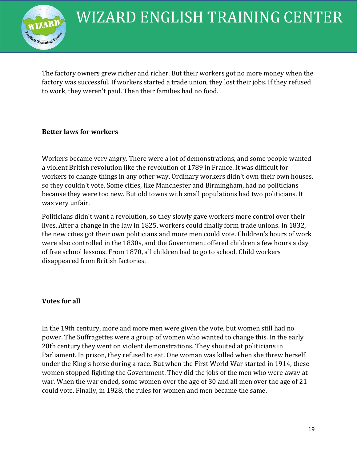

The factory owners grew richer and richer. But their workers got no more money when the factory was successful. If workers started a trade union, they lost their jobs. If they refused to work, they weren't paid. Then their families had no food.

#### **Better laws for workers**

Workers became very angry. There were a lot of demonstrations, and some people wanted a violent British revolution like the revolution of 1789 in France. It was difficult for workers to change things in any other way. Ordinary workers didn't own their own houses, so they couldn't vote. Some cities, like Manchester and Birmingham, had no politicians because they were too new. But old towns with small populations had two politicians. It was very unfair.

Politicians didn't want a revolution, so they slowly gave workers more control over their lives. After a change in the law in 1825, workers could finally form trade unions. In 1832, the new cities got their own politicians and more men could vote. Children's hours of work were also controlled in the 1830s, and the Government offered children a few hours a day of free school lessons. From 1870, all children had to go to school. Child workers disappeared from British factories.

#### **Votes for all**

In the 19th century, more and more men were given the vote, but women still had no power. The Suffragettes were a group of women who wanted to change this. In the early 20th century they went on violent demonstrations. They shouted at politicians in Parliament. In prison, they refused to eat. One woman was killed when she threw herself under the King's horse during a race. But when the First World War started in 1914, these women stopped fighting the Government. They did the jobs of the men who were away at war. When the war ended, some women over the age of 30 and all men over the age of 21 could vote. Finally, in 1928, the rules for women and men became the same.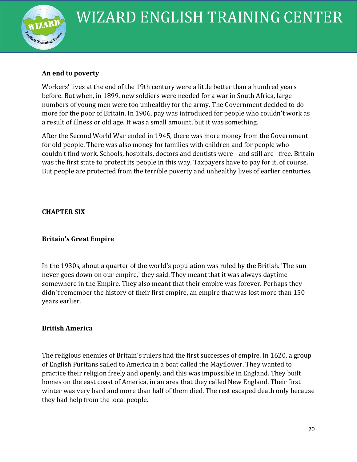

## **An end to poverty**

Workers' lives at the end of the 19th century were a little better than a hundred years before. But when, in 1899, new soldiers were needed for a war in South Africa, large numbers of young men were too unhealthy for the army. The Government decided to do more for the poor of Britain. In 1906, pay was introduced for people who couldn't work as a result of illness or old age. It was a small amount, but it was something.

After the Second World War ended in 1945, there was more money from the Government for old people. There was also money for families with children and for people who couldn't find work. Schools, hospitals, doctors and dentists were - and still are - free. Britain was the first state to protect its people in this way. Taxpayers have to pay for it, of course. But people are protected from the terrible poverty and unhealthy lives of earlier centuries.

## **CHAPTER SIX**

## **Britain's Great Empire**

In the 1930s, about a quarter of the world's population was ruled by the British. 'The sun never goes down on our empire,' they said. They meant that it was always daytime somewhere in the Empire. They also meant that their empire was forever. Perhaps they didn't remember the history of their first empire, an empire that was lost more than 150 years earlier.

## **British America**

The religious enemies of Britain's rulers had the first successes of empire. In 1620, a group of English Puritans sailed to America in a boat called the Mayflower. They wanted to practice their religion freely and openly, and this was impossible in England. They built homes on the east coast of America, in an area that they called New England. Their first winter was very hard and more than half of them died. The rest escaped death only because they had help from the local people.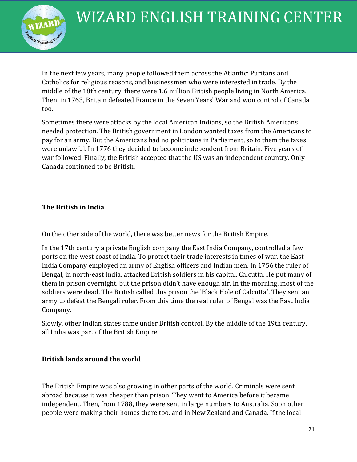

In the next few years, many people followed them across the Atlantic: Puritans and Catholics for religious reasons, and businessmen who were interested in trade. By the middle of the 18th century, there were 1.6 million British people living in North America. Then, in 1763, Britain defeated France in the Seven Years' War and won control of Canada too.

Sometimes there were attacks by the local American Indians, so the British Americans needed protection. The British government in London wanted taxes from the Americans to pay for an army. But the Americans had no politicians in Parliament, so to them the taxes were unlawful. In 1776 they decided to become independent from Britain. Five years of war followed. Finally, the British accepted that the US was an independent country. Only Canada continued to be British.

## **The British in India**

On the other side of the world, there was better news for the British Empire.

In the 17th century a private English company the East India Company, controlled a few ports on the west coast of India. To protect their trade interests in times of war, the East India Company employed an army of English officers and Indian men. In 1756 the ruler of Bengal, in north-east India, attacked British soldiers in his capital, Calcutta. He put many of them in prison overnight, but the prison didn't have enough air. In the morning, most of the soldiers were dead. The British called this prison the 'Black Hole of Calcutta'. They sent an army to defeat the Bengali ruler. From this time the real ruler of Bengal was the East India Company.

Slowly, other Indian states came under British control. By the middle of the 19th century, all India was part of the British Empire.

## **British lands around the world**

The British Empire was also growing in other parts of the world. Criminals were sent abroad because it was cheaper than prison. They went to America before it became independent. Then, from 1788, they were sent in large numbers to Australia. Soon other people were making their homes there too, and in New Zealand and Canada. If the local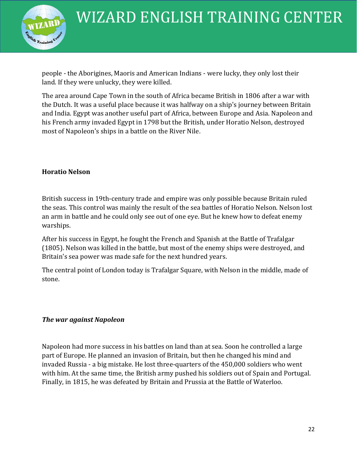

people - the Aborigines, Maoris and American Indians - were lucky, they only lost their land. If they were unlucky, they were killed.

The area around Cape Town in the south of Africa became British in 1806 after a war with the Dutch. It was a useful place because it was halfway on a ship's journey between Britain and India. Egypt was another useful part of Africa, between Europe and Asia. Napoleon and his French army invaded Egypt in 1798 but the British, under Horatio Nelson, destroyed most of Napoleon's ships in a battle on the River Nile.

## **Horatio Nelson**

British success in 19th-century trade and empire was only possible because Britain ruled the seas. This control was mainly the result of the sea battles of Horatio Nelson. Nelson lost an arm in battle and he could only see out of one eye. But he knew how to defeat enemy warships.

After his success in Egypt, he fought the French and Spanish at the Battle of Trafalgar (1805). Nelson was killed in the battle, but most of the enemy ships were destroyed, and Britain's sea power was made safe for the next hundred years.

The central point of London today is Trafalgar Square, with Nelson in the middle, made of stone.

## *The war against Napoleon*

Napoleon had more success in his battles on land than at sea. Soon he controlled a large part of Europe. He planned an invasion of Britain, but then he changed his mind and invaded Russia - a big mistake. He lost three-quarters of the 450,000 soldiers who went with him. At the same time, the British army pushed his soldiers out of Spain and Portugal. Finally, in 1815, he was defeated by Britain and Prussia at the Battle of Waterloo.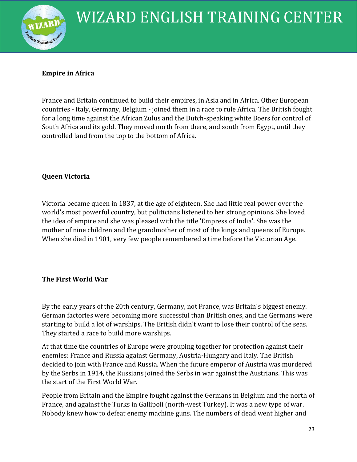

## **Empire in Africa**

France and Britain continued to build their empires, in Asia and in Africa. Other European countries - Italy, Germany, Belgium - joined them in a race to rule Africa. The British fought for a long time against the African Zulus and the Dutch-speaking white Boers for control of South Africa and its gold. They moved north from there, and south from Egypt, until they controlled land from the top to the bottom of Africa.

#### **Queen Victoria**

Victoria became queen in 1837, at the age of eighteen. She had little real power over the world's most powerful country, but politicians listened to her strong opinions. She loved the idea of empire and she was pleased with the title 'Empress of India'. She was the mother of nine children and the grandmother of most of the kings and queens of Europe. When she died in 1901, very few people remembered a time before the Victorian Age.

## **The First World War**

By the early years of the 20th century, Germany, not France, was Britain's biggest enemy. German factories were becoming more successful than British ones, and the Germans were starting to build a lot of warships. The British didn't want to lose their control of the seas. They started a race to build more warships.

At that time the countries of Europe were grouping together for protection against their enemies: France and Russia against Germany, Austria-Hungary and Italy. The British decided to join with France and Russia. When the future emperor of Austria was murdered by the Serbs in 1914, the Russians joined the Serbs in war against the Austrians. This was the start of the First World War.

People from Britain and the Empire fought against the Germans in Belgium and the north of France, and against the Turks in Gallipoli (north-west Turkey). It was a new type of war. Nobody knew how to defeat enemy machine guns. The numbers of dead went higher and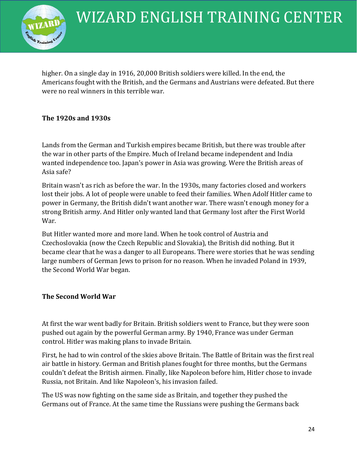

higher. On a single day in 1916, 20,000 British soldiers were killed. In the end, the Americans fought with the British, and the Germans and Austrians were defeated. But there were no real winners in this terrible war.

## **The 1920s and 1930s**

Lands from the German and Turkish empires became British, but there was trouble after the war in other parts of the Empire. Much of Ireland became independent and India wanted independence too. Japan's power in Asia was growing. Were the British areas of Asia safe?

Britain wasn't as rich as before the war. In the 1930s, many factories closed and workers lost their jobs. A lot of people were unable to feed their families. When Adolf Hitler came to power in Germany, the British didn't want another war. There wasn't enough money for a strong British army. And Hitler only wanted land that Germany lost after the First World War.

But Hitler wanted more and more land. When he took control of Austria and Czechoslovakia (now the Czech Republic and Slovakia), the British did nothing. But it became clear that he was a danger to all Europeans. There were stories that he was sending large numbers of German Jews to prison for no reason. When he invaded Poland in 1939, the Second World War began.

## **The Second World War**

At first the war went badly for Britain. British soldiers went to France, but they were soon pushed out again by the powerful German army. By 1940, France was under German control. Hitler was making plans to invade Britain.

First, he had to win control of the skies above Britain. The Battle of Britain was the first real air battle in history. German and British planes fought for three months, but the Germans couldn't defeat the British airmen. Finally, like Napoleon before him, Hitler chose to invade Russia, not Britain. And like Napoleon's, his invasion failed.

The US was now fighting on the same side as Britain, and together they pushed the Germans out of France. At the same time the Russians were pushing the Germans back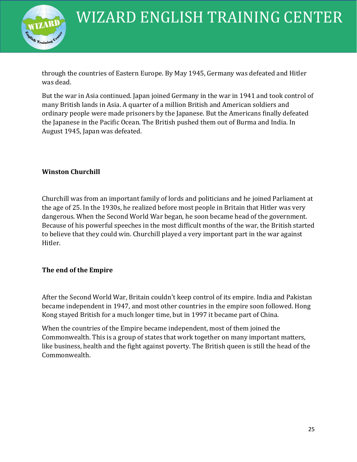

through the countries of Eastern Europe. By May 1945, Germany was defeated and Hitler was dead.

But the war in Asia continued. Japan joined Germany in the war in 1941 and took control of many British lands in Asia. A quarter of a million British and American soldiers and ordinary people were made prisoners by the Japanese. But the Americans finally defeated the Japanese in the Pacific Ocean. The British pushed them out of Burma and India. In August 1945, Japan was defeated.

# **Winston Churchill**

Churchill was from an important family of lords and politicians and he joined Parliament at the age of 25. In the 1930s, he realized before most people in Britain that Hitler was very dangerous. When the Second World War began, he soon became head of the government. Because of his powerful speeches in the most difficult months of the war, the British started to believe that they could win. Churchill played a very important part in the war against Hitler.

## **The end of the Empire**

After the Second World War, Britain couldn't keep control of its empire. India and Pakistan became independent in 1947, and most other countries in the empire soon followed. Hong Kong stayed British for a much longer time, but in 1997 it became part of China.

When the countries of the Empire became independent, most of them joined the Commonwealth. This is a group of states that work together on many important matters, like business, health and the fight against poverty. The British queen is still the head of the Commonwealth.